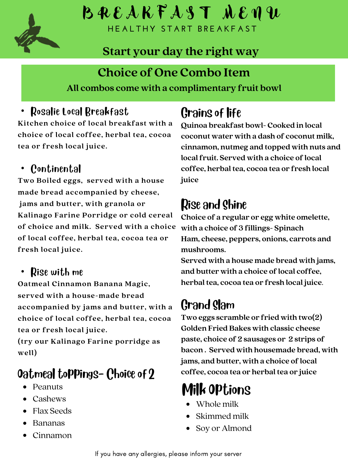

### B R E A K F A S T M E VI U **H E A L T H Y S T A R T B R E A K F A S T**

### **Start your day the right way**

#### **Choice of One Combo Item**

**All combos come with a complimentary fruit bowl**

#### Rosalie Local Breakfast

**Kitchen choice of local breakfast with a choice of local coffee, herbal tea, cocoa tea or fresh local juice.**

#### Continental

**Two Boiled eggs, served with a house made bread accompanied by cheese, jams and butter, with granola or Kalinago Farine Porridge or cold cereal of choice and milk. Served with a choice of local coffee, herbal tea, cocoa tea or fresh local juice.**

#### Rise with me

**Oatmeal Cinnamon Banana Magic, served with a house-made bread accompanied by jams and butter, with a choice of local coffee, herbal tea, cocoa tea or fresh local juice.**

**(try our Kalinago Farine porridge as well)**

### Oatmeal toppings- Choice of 2

- 
- Cashews
- Flax Seeds
- Bananas
- Cinnamon

### Grains of life

**Quinoa breakfast bowl- Cooked in local coconut water with a dash of coconut milk, cinnamon, nutmeg and topped with nuts and local fruit. Served with a choice of local coffee, herbal tea, cocoa tea or fresh local juice**

### Rise and Shine

**Choice of a regular or egg white omelette, with a choice of 3 fillings- Spinach Ham, cheese, peppers, onions, carrots and mushrooms.**

**Served with a house made bread with jams, and butter with a choice of local coffee, herbal tea, cocoa tea or fresh local juice**.

### Grand Slam

**Two eggs scramble or fried with two(2) Golden Fried Bakes with classic cheese paste, choice of 2 sausages or 2 strips of bacon . Served with housemade bread, with jams, and butter, with a choice of local coffee, cocoa tea or herbal tea or juice**

# • Peanuts **Milk Options**

- Whole milk
- Skimmed milk
- Soy or Almond